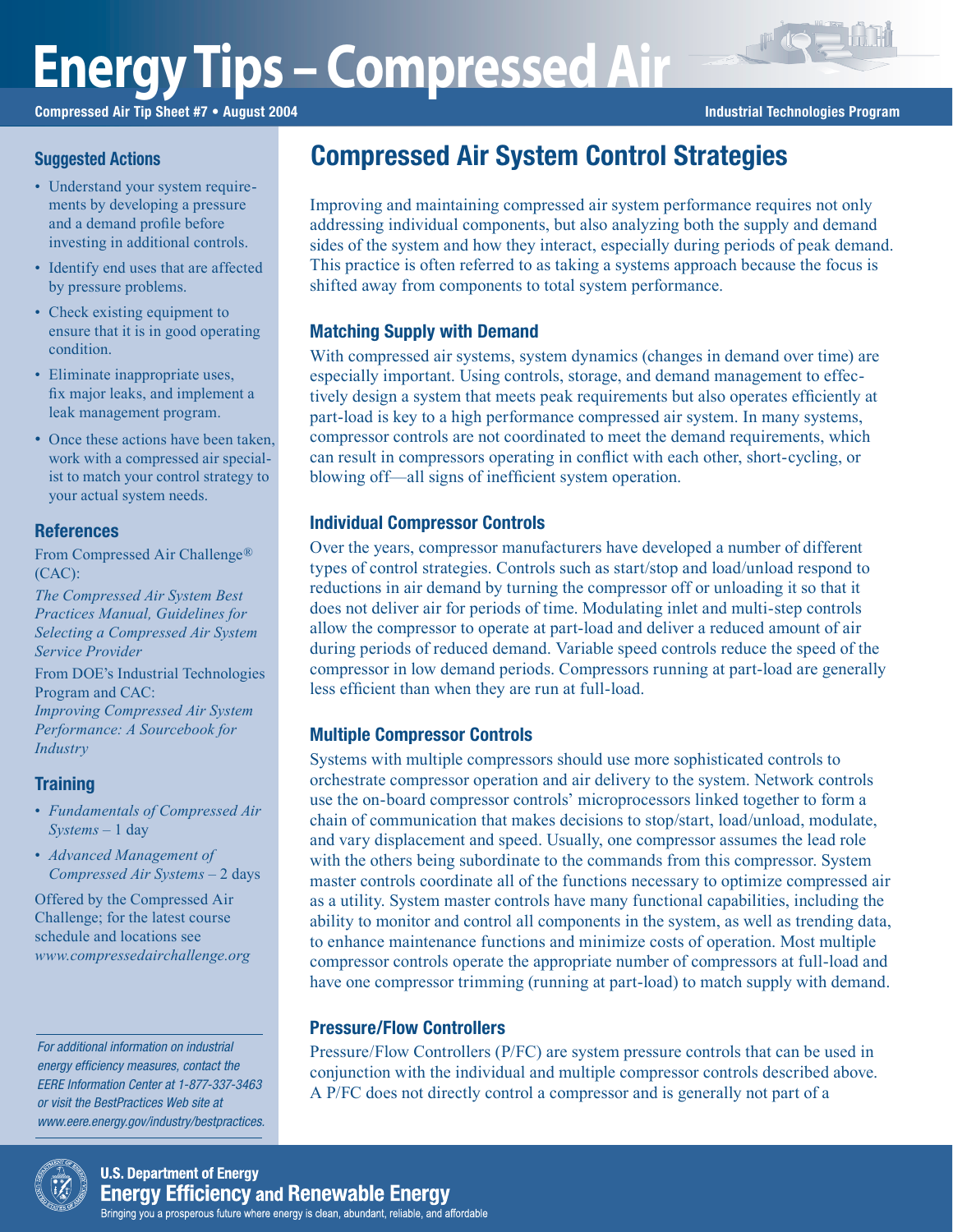# **Energy Tips – Compressed Air**

Compressed Air Tip Sheet #7 • August 2004 **Industrial Technologies Program** Industrial Technologies Program

FREE

## **Suggested Actions**

- Understand your system requirements by developing a pressure and a demand profile before investing in additional controls.
- Identify end uses that are affected by pressure problems.
- Check existing equipment to ensure that it is in good operating condition.
- Eliminate inappropriate uses, fix major leaks, and implement a leak management program.
- Once these actions have been taken, work with a compressed air specialist to match your control strategy to your actual system needs.

## **References**

From Compressed Air Challenge® (CAC):

*The Compressed Air System Best Practices Manual, Guidelines for Selecting a Compressed Air System Service Provider*

From DOE's Industrial Technologies Program and CAC: *Improving Compressed Air System Performance: A Sourcebook for Industry*

# **Training**

- *Fundamentals of Compressed Air Systems* – 1 day
- *Advanced Management of Compressed Air Systems* – 2 days

Offered by the Compressed Air Challenge; for the latest course schedule and locations see *www.compressedairchallenge.org*

For additional information on industrial energy efficiency measures, contact the EERE Information Center at 1-877-337-3463 or visit the BestPractices Web site at www.eere.energy.gov/industry/bestpractices.



Improving and maintaining compressed air system performance requires not only addressing individual components, but also analyzing both the supply and demand sides of the system and how they interact, especially during periods of peak demand. This practice is often referred to as taking a systems approach because the focus is shifted away from components to total system performance.

# Matching Supply with Demand

With compressed air systems, system dynamics (changes in demand over time) are especially important. Using controls, storage, and demand management to effectively design a system that meets peak requirements but also operates efficiently at part-load is key to a high performance compressed air system. In many systems, compressor controls are not coordinated to meet the demand requirements, which can result in compressors operating in conflict with each other, short-cycling, or blowing off—all signs of inefficient system operation.

## Individual Compressor Controls

Over the years, compressor manufacturers have developed a number of different types of control strategies. Controls such as start/stop and load/unload respond to reductions in air demand by turning the compressor off or unloading it so that it does not deliver air for periods of time. Modulating inlet and multi-step controls allow the compressor to operate at part-load and deliver a reduced amount of air during periods of reduced demand. Variable speed controls reduce the speed of the compressor in low demand periods. Compressors running at part-load are generally less efficient than when they are run at full-load.

# Multiple Compressor Controls

Systems with multiple compressors should use more sophisticated controls to orchestrate compressor operation and air delivery to the system. Network controls use the on-board compressor controls' microprocessors linked together to form a chain of communication that makes decisions to stop/start, load/unload, modulate, and vary displacement and speed. Usually, one compressor assumes the lead role with the others being subordinate to the commands from this compressor. System master controls coordinate all of the functions necessary to optimize compressed air as a utility. System master controls have many functional capabilities, including the ability to monitor and control all components in the system, as well as trending data, to enhance maintenance functions and minimize costs of operation. Most multiple compressor controls operate the appropriate number of compressors at full-load and have one compressor trimming (running at part-load) to match supply with demand.

## Pressure/Flow Controllers

Pressure/Flow Controllers (P/FC) are system pressure controls that can be used in conjunction with the individual and multiple compressor controls described above. A P/FC does not directly control a compressor and is generally not part of a